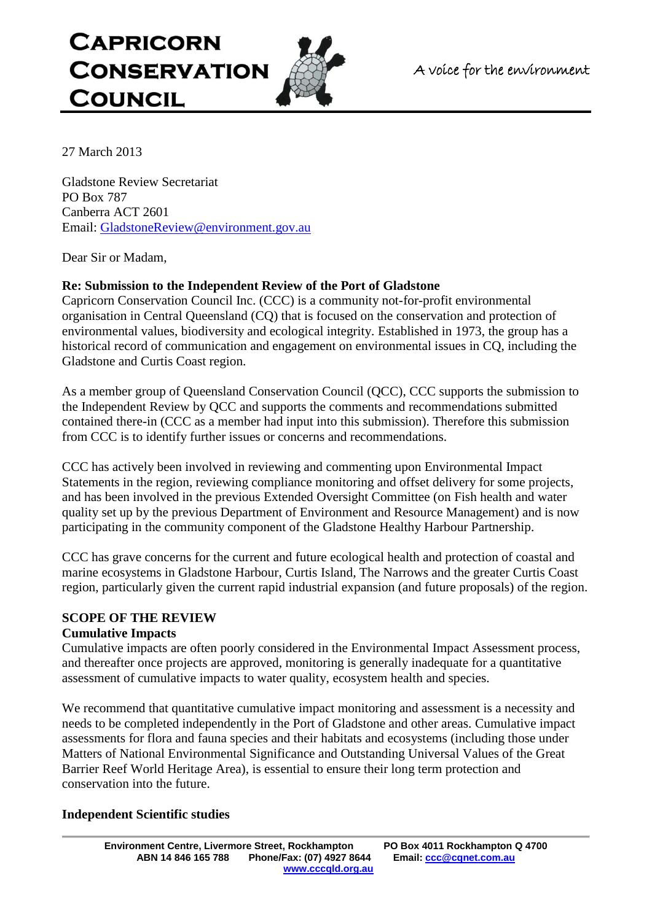# **CAPRICORN CONSERVATION COUNCIL**



27 March 2013

Gladstone Review Secretariat PO Box 787 Canberra ACT 2601 Email: [GladstoneReview@environment.gov.au](mailto:GladstoneReview@environment.gov.au)

Dear Sir or Madam,

## **Re: Submission to the Independent Review of the Port of Gladstone**

Capricorn Conservation Council Inc. (CCC) is a community not-for-profit environmental organisation in Central Queensland (CQ) that is focused on the conservation and protection of environmental values, biodiversity and ecological integrity. Established in 1973, the group has a historical record of communication and engagement on environmental issues in CQ, including the Gladstone and Curtis Coast region.

As a member group of Queensland Conservation Council (QCC), CCC supports the submission to the Independent Review by QCC and supports the comments and recommendations submitted contained there-in (CCC as a member had input into this submission). Therefore this submission from CCC is to identify further issues or concerns and recommendations.

CCC has actively been involved in reviewing and commenting upon Environmental Impact Statements in the region, reviewing compliance monitoring and offset delivery for some projects, and has been involved in the previous Extended Oversight Committee (on Fish health and water quality set up by the previous Department of Environment and Resource Management) and is now participating in the community component of the Gladstone Healthy Harbour Partnership.

CCC has grave concerns for the current and future ecological health and protection of coastal and marine ecosystems in Gladstone Harbour, Curtis Island, The Narrows and the greater Curtis Coast region, particularly given the current rapid industrial expansion (and future proposals) of the region.

## **SCOPE OF THE REVIEW**

#### **Cumulative Impacts**

Cumulative impacts are often poorly considered in the Environmental Impact Assessment process, and thereafter once projects are approved, monitoring is generally inadequate for a quantitative assessment of cumulative impacts to water quality, ecosystem health and species.

We recommend that quantitative cumulative impact monitoring and assessment is a necessity and needs to be completed independently in the Port of Gladstone and other areas. Cumulative impact assessments for flora and fauna species and their habitats and ecosystems (including those under Matters of National Environmental Significance and Outstanding Universal Values of the Great Barrier Reef World Heritage Area), is essential to ensure their long term protection and conservation into the future.

## **Independent Scientific studies**